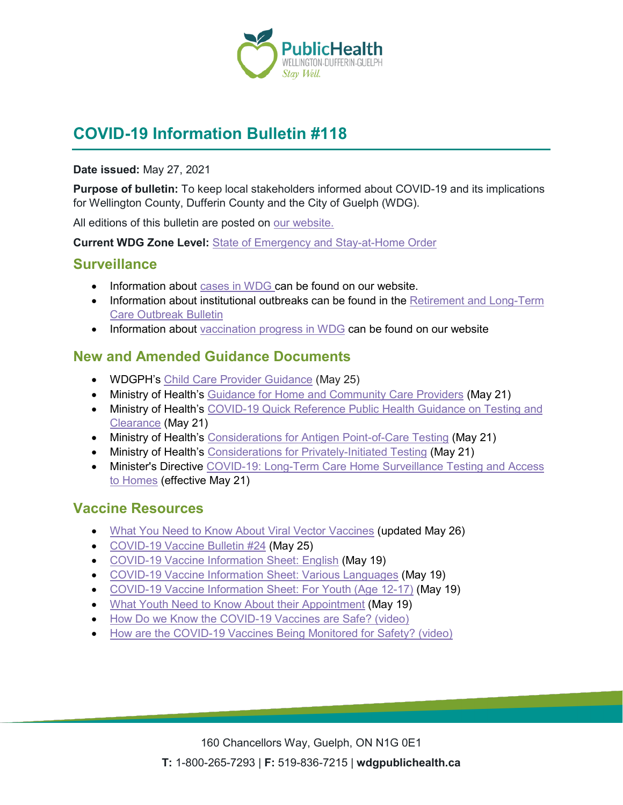

# **COVID-19 Information Bulletin #118**

#### **Date issued:** May 27, 2021

**Purpose of bulletin:** To keep local stakeholders informed about COVID-19 and its implications for Wellington County, Dufferin County and the City of Guelph (WDG).

All editions of this bulletin are posted on [our website.](https://www.wdgpublichealth.ca/your-health/covid-19-information-workplaces-and-living-spaces/community-stakeholder-bulletins)

**Current WDG Zone Level:** [State of Emergency and Stay-at-Home Order](https://www.ontario.ca/page/covid-19-provincewide-shutdown)

#### **Surveillance**

- Information about [cases in WDG](https://wdgpublichealth.ca/your-health/covid-19-information-public/status-cases-wdg) can be found on our website.
- Information about institutional outbreaks can be found in the Retirement and Long-Term [Care Outbreak Bulletin](https://wdgpublichealth.ca/node/1542)
- Information about [vaccination progress](https://www.wdgpublichealth.ca/your-health/covid-19-information-public/covid-19-vaccine-information-public) in WDG can be found on our website

### **New and Amended Guidance Documents**

- WDGPH's [Child Care Provider Guidance](https://www.wdgpublichealth.ca/sites/default/files/wdgph_covid-19_guidance_child_care.pdf) (May 25)
- Ministry of Health's [Guidance for Home and Community Care Providers](https://www.health.gov.on.ca/en/pro/programs/publichealth/coronavirus/docs/2019_home_community_care_guidance.pdf) (May 21)
- Ministry of Health's COVID-19 Quick Reference Public Health Guidance on Testing and [Clearance](https://www.health.gov.on.ca/en/pro/programs/publichealth/coronavirus/docs/2019_testing_clearing_cases_guidance.pdf) (May 21)
- Ministry of Health's [Considerations for Antigen Point-of-Care Testing](https://www.health.gov.on.ca/en/pro/programs/publichealth/coronavirus/docs/Antigen_Screening_Guidance_2021-03-5.pdf) (May 21)
- Ministry of Health's [Considerations for Privately-Initiated Testing](https://www.health.gov.on.ca/en/pro/programs/publichealth/coronavirus/docs/Considerations_for_Privately-Initiated_Testing.pdf) (May 21)
- Minister's Directive [COVID-19: Long-Term Care Home Surveillance Testing and Access](https://www.ontario.ca/page/covid-19-long-term-care-home-surveillance-testing)  [to Homes](https://www.ontario.ca/page/covid-19-long-term-care-home-surveillance-testing) (effective May 21)

### **Vaccine Resources**

- [What You Need to Know About Viral Vector Vaccines](https://www.publichealthontario.ca/-/media/documents/ncov/vaccines/2021/04/covid-19-fact-sheet-viral-vector-vaccines.pdf?la=en) (updated May 26)
- [COVID-19 Vaccine Bulletin](https://www.wdgpublichealth.ca/sites/default/files/wdgph_covid-19_vaccine_bulletin_24_may_25_2021.pdf) #24 (May 25)
- [COVID-19 Vaccine Information Sheet:](https://www.health.gov.on.ca/en/pro/programs/publichealth/coronavirus/docs/vaccine/COVID-19_vaccine_info_sheet.pdf) English (May 19)
- [COVID-19 Vaccine Information Sheet: Various Languages](https://www.health.gov.on.ca/en/pro/programs/publichealth/coronavirus/covid19_vaccine.aspx) (May 19)
- [COVID-19 Vaccine Information Sheet: For Youth \(Age 12-17\)](https://www.health.gov.on.ca/en/pro/programs/publichealth/coronavirus/docs/vaccine/COVID-19_vaccine_information_sheet_youth.pdf) (May 19)
- [What Youth Need to Know About their Appointment](https://www.health.gov.on.ca/en/pro/programs/publichealth/coronavirus/docs/vaccine/COVID-19_what_youth_need_to_know.pdf) (May 19)
- [How Do we Know the COVID-19 Vaccines are Safe? \(video\)](https://health.canada.ca/en/public-health/services/video/how-covid-19-vaccines-safe.html)
- [How are the COVID-19 Vaccines Being Monitored for Safety? \(video\)](https://health.canada.ca/en/public-health/services/video/how-covid-19-vaccines-monitored-safety.html)

160 Chancellors Way, Guelph, ON N1G 0E1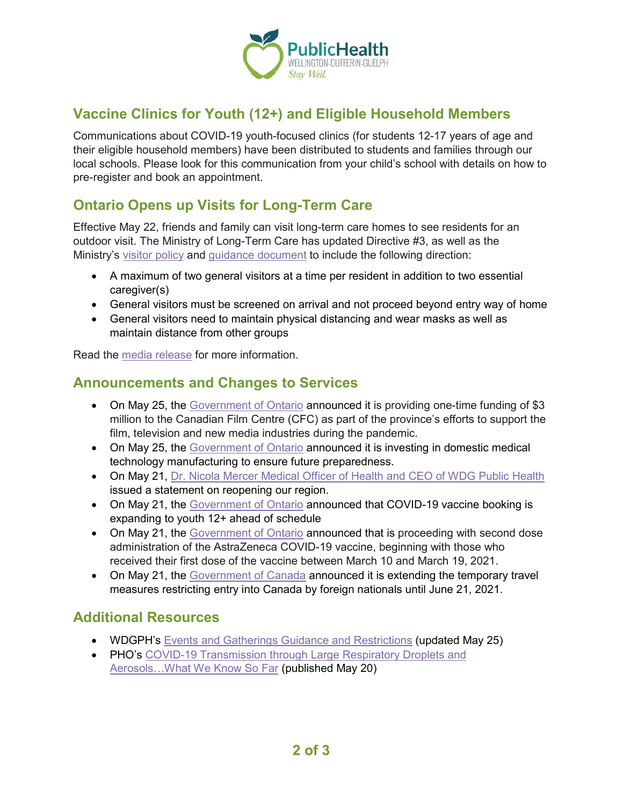

## **Vaccine Clinics for Youth (12+) and Eligible Household Members**

Communications about COVID-19 youth-focused clinics (for students 12-17 years of age and their eligible household members) have been distributed to students and families through our local schools. Please look for this communication from your child's school with details on how to pre-register and book an appointment.

### **Ontario Opens up Visits for Long-Term Care**

Effective May 22, friends and family can visit long-term care homes to see residents for an outdoor visit. The Ministry of Long-Term Care has updated Directive #3, as well as the Ministry's [visitor policy](https://www.ontario.ca/page/covid-19-visiting-long-term-care-homes) and [guidance document](https://www.ontario.ca/page/covid-19-guidance-document-long-term-care-homes-ontario) to include the following direction:

- A maximum of two general visitors at a time per resident in addition to two essential caregiver(s)
- General visitors must be screened on arrival and not proceed beyond entry way of home
- General visitors need to maintain physical distancing and wear masks as well as maintain distance from other groups

Read the [media release](https://news.ontario.ca/en/release/1000182/ontario-opening-up-outdoor-visits-for-long-term-care) for more information.

### **Announcements and Changes to Services**

- On May 25, the [Government of Ontario](https://news.ontario.ca/en/release/1000193/ontario-supporting-screen-based-industries-during-covid-19) announced it is providing one-time funding of \$3 million to the Canadian Film Centre (CFC) as part of the province's efforts to support the film, television and new media industries during the pandemic.
- On May 25, the [Government of Ontario](https://news.ontario.ca/en/release/1000192/ontario-investing-in-domestic-medical-technology-manufacturing-to-ensure-future-preparedness) announced it is investing in domestic medical technology manufacturing to ensure future preparedness.
- On May 21, [Dr. Nicola Mercer Medical Officer of Health and CEO of WDG Public Health](https://www.wdgpublichealth.ca/news/statement-dr-nicola-mercer-medical-officer-health-and-ceo-reopening-our-region) issued a statement on reopening our region.
- On May 21, the [Government of Ontario](https://news.ontario.ca/en/release/1000185/covid-19-vaccine-booking-expanding-to-youth-12-ahead-of-schedule) announced that COVID-19 vaccine booking is expanding to youth 12+ ahead of schedule
- On May 21, the [Government of Ontario](https://news.ontario.ca/en/release/1000174/ontario-proceeding-with-second-dose-administration-of-astrazeneca) announced that is proceeding with second dose administration of the AstraZeneca COVID-19 vaccine, beginning with those who received their first dose of the vaccine between March 10 and March 19, 2021.
- On May 21, the [Government of Canada](https://www.canada.ca/en/public-health/news/2021/05/government-of-canada-extends-quarantine-measures-and-travel-restrictions.html) announced it is extending the temporary travel measures restricting entry into Canada by foreign nationals until June 21, 2021.

### **Additional Resources**

- WDGPH's [Events and Gatherings Guidance and Restrictions](https://www.wdgpublichealth.ca/your-health/covid-19-information-public/current-public-health-measures-and-restrictions/events-and) (updated May 25)
- PHO's COVID-19 Transmission through Large Respiratory Droplets and [Aerosols…What We Know So Far](https://www.publichealthontario.ca/-/media/documents/ncov/covid-wwksf/2021/05/wwksf-transmission-respiratory-aerosols.pdf?la=en) (published May 20)